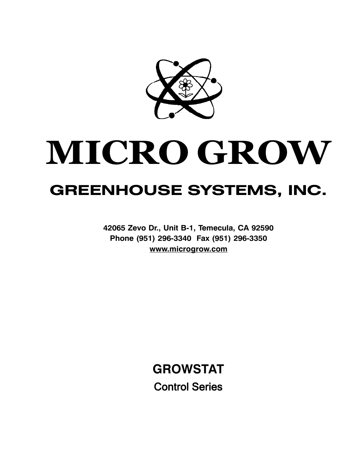

# **MICRO GROW GREENHOUSE SYSTEMS, INC.**

**42065 Zevo Dr., Unit B-1, Temecula, CA 92590 Phone (951) 296-3340 Fax (951) 296-3350 [www.microgrow.com](http://www.microgrow.com)**

> **GROWSTAT Control Series**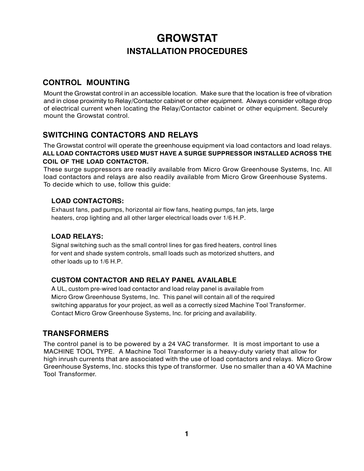# **GROWSTAT INSTALLATION PROCEDURES**

## **CONTROL MOUNTING**

Mount the Growstat control in an accessible location. Make sure that the location is free of vibration and in close proximity to Relay/Contactor cabinet or other equipment. Always consider voltage drop of electrical current when locating the Relay/Contactor cabinet or other equipment. Securely mount the Growstat control.

## **SWITCHING CONTACTORS AND RELAYS**

The Growstat control will operate the greenhouse equipment via load contactors and load relays. **ALL LOAD CONTACTORS USED MUST HAVE A SURGE SUPPRESSOR INSTALLED ACROSS THE COIL OF THE LOAD CONTACTOR.**

These surge suppressors are readily available from Micro Grow Greenhouse Systems, Inc. All load contactors and relays are also readily available from Micro Grow Greenhouse Systems. To decide which to use, follow this guide:

## **LOAD CONTACTORS:**

Exhaust fans, pad pumps, horizontal air flow fans, heating pumps, fan jets, large heaters, crop lighting and all other larger electrical loads over 1/6 H.P.

## **LOAD RELAYS:**

Signal switching such as the small control lines for gas fired heaters, control lines for vent and shade system controls, small loads such as motorized shutters, and other loads up to 1/6 H.P.

## **CUSTOM CONTACTOR AND RELAY PANEL AVAILABLE**

A UL, custom pre-wired load contactor and load relay panel is available from Micro Grow Greenhouse Systems, Inc. This panel will contain all of the required switching apparatus for your project, as well as a correctly sized Machine Tool Transformer. Contact Micro Grow Greenhouse Systems, Inc. for pricing and availability.

## **TRANSFORMERS**

The control panel is to be powered by a 24 VAC transformer. It is most important to use a MACHINE TOOL TYPE. A Machine Tool Transformer is a heavy-duty variety that allow for high inrush currents that are associated with the use of load contactors and relays. Micro Grow Greenhouse Systems, Inc. stocks this type of transformer. Use no smaller than a 40 VA Machine Tool Transformer.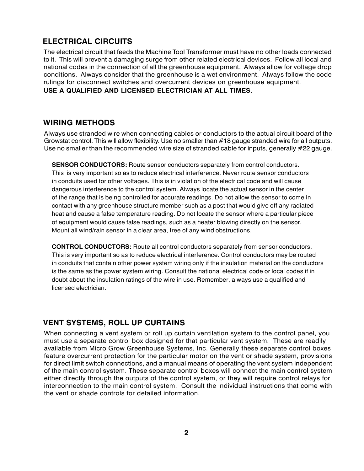## **ELECTRICAL CIRCUITS**

The electrical circuit that feeds the Machine Tool Transformer must have no other loads connected to it. This will prevent a damaging surge from other related electrical devices. Follow all local and national codes in the connection of all the greenhouse equipment. Always allow for voltage drop conditions. Always consider that the greenhouse is a wet environment. Always follow the code rulings for disconnect switches and overcurrent devices on greenhouse equipment.

#### **USE A QUALIFIED AND LICENSED ELECTRICIAN AT ALL TIMES.**

## **WIRING METHODS**

Always use stranded wire when connecting cables or conductors to the actual circuit board of the Growstat control. This will allow flexibility. Use no smaller than #18 gauge stranded wire for all outputs. Use no smaller than the recommended wire size of stranded cable for inputs, generally #22 gauge.

**SENSOR CONDUCTORS:** Route sensor conductors separately from control conductors. This is very important so as to reduce electrical interference. Never route sensor conductors in conduits used for other voltages. This is in violation of the electrical code and will cause dangerous interference to the control system. Always locate the actual sensor in the center of the range that is being controlled for accurate readings. Do not allow the sensor to come in contact with any greenhouse structure member such as a post that would give off any radiated heat and cause a false temperature reading. Do not locate the sensor where a particular piece of equipment would cause false readings, such as a heater blowing directly on the sensor. Mount all wind/rain sensor in a clear area, free of any wind obstructions.

**CONTROL CONDUCTORS:** Route all control conductors separately from sensor conductors. This is very important so as to reduce electrical interference. Control conductors may be routed in conduits that contain other power system wiring only if the insulation material on the conductors is the same as the power system wiring. Consult the national electrical code or local codes if in doubt about the insulation ratings of the wire in use. Remember, always use a qualified and licensed electrician.

## **VENT SYSTEMS, ROLL UP CURTAINS**

When connecting a vent system or roll up curtain ventilation system to the control panel, you must use a separate control box designed for that particular vent system. These are readily available from Micro Grow Greenhouse Systems, Inc. Generally these separate control boxes feature overcurrent protection for the particular motor on the vent or shade system, provisions for direct limit switch connections, and a manual means of operating the vent system independent of the main control system. These separate control boxes will connect the main control system either directly through the outputs of the control system, or they will require control relays for interconnection to the main control system. Consult the individual instructions that come with the vent or shade controls for detailed information.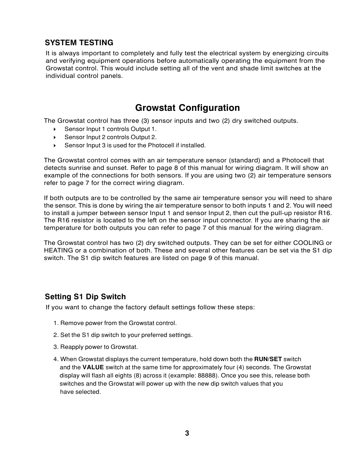## **SYSTEM TESTING**

It is always important to completely and fully test the electrical system by energizing circuits and verifying equipment operations before automatically operating the equipment from the Growstat control. This would include setting all of the vent and shade limit switches at the individual control panels.

# **Growstat Configuration**

The Growstat control has three (3) sensor inputs and two (2) dry switched outputs.

- ◆ Sensor Input 1 controls Output 1.
- ▶ Sensor Input 2 controls Output 2.
- 4 Sensor Input 3 is used for the Photocell if installed.

The Growstat control comes with an air temperature sensor (standard) and a Photocell that detects sunrise and sunset. Refer to page 8 of this manual for wiring diagram. It will show an example of the connections for both sensors. If you are using two (2) air temperature sensors refer to page 7 for the correct wiring diagram.

If both outputs are to be controlled by the same air temperature sensor you will need to share the sensor. This is done by wiring the air temperature sensor to both inputs 1 and 2. You will need to install a jumper between sensor Input 1 and sensor Input 2, then cut the pull-up resistor R16. The R16 resistor is located to the left on the sensor input connector. If you are sharing the air temperature for both outputs you can refer to page 7 of this manual for the wiring diagram.

The Growstat control has two (2) dry switched outputs. They can be set for either COOLING or HEATING or a combination of both. These and several other features can be set via the S1 dip switch. The S1 dip switch features are listed on page 9 of this manual.

## **Setting S1 Dip Switch**

If you want to change the factory default settings follow these steps:

- 1. Remove power from the Growstat control.
- 2. Set the S1 dip switch to your preferred settings.
- 3. Reapply power to Growstat.
- 4. When Growstat displays the current temperature, hold down both the **RUN/SET** switch and the **VALUE** switch at the same time for approximately four (4) seconds. The Growstat display will flash all eights (8) across it (example: 88888). Once you see this, release both switches and the Growstat will power up with the new dip switch values that you have selected.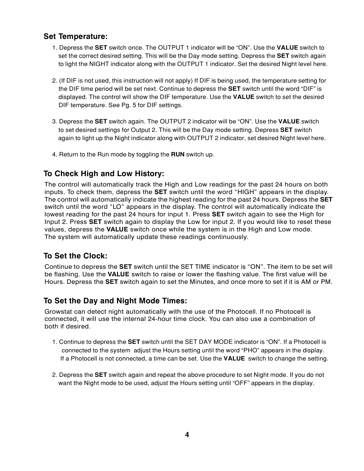## **Set Temperature:**

- 1. Depress the **SET** switch once. The OUTPUT 1 indicator will be "ON". Use the **VALUE** switch to set the correct desired setting. This will be the Day mode setting. Depress the **SET** switch again to light the NIGHT indicator along with the OUTPUT 1 indicator. Set the desired Night level here.
- 2. (If DIF is not used, this instruction will not apply) If DIF is being used, the temperature setting for the DIF time period will be set next. Continue to depress the **SET** switch until the word "DIF" is displayed. The control will show the DIF temperature. Use the **VALUE** switch to set the desired DIF temperature. See Pg. 5 for DIF settings.
- 3. Depress the **SET** switch again. The OUTPUT 2 indicator will be "ON". Use the **VALUE** switch to set desired settings for Output 2. This will be the Day mode setting. Depress **SET** switch again to light up the Night indicator along with OUTPUT 2 indicator, set desired Night level here.
- 4. Return to the Run mode by toggling the **RUN** switch up.

## **To Check High and Low History:**

The control will automatically track the High and Low readings for the past 24 hours on both inputs. To check them, depress the **SET** switch until the word "HIGH" appears in the display. The control will automatically indicate the highest reading for the past 24 hours. Depress the **SET** switch until the word "LO" appears in the display. The control will automatically indicate the lowest reading for the past 24 hours for input 1. Press **SET** switch again to see the High for Input 2. Press **SET** switch again to display the Low for input 2. If you would like to reset these values, depress the **VALUE** switch once while the system is in the High and Low mode. The system will automatically update these readings continuously.

## **To Set the Clock:**

Continue to depress the **SET** switch until the SET TIME indicator is "ON". The item to be set will be flashing. Use the **VALUE** switch to raise or lower the flashing value. The first value will be Hours. Depress the **SET** switch again to set the Minutes, and once more to set if it is AM or PM.

## **To Set the Day and Night Mode Times:**

Growstat can detect night automatically with the use of the Photocell. If no Photocell is connected, it will use the internal 24-hour time clock. You can also use a combination of both if desired.

- 1. Continue to depress the **SET** switch until the SET DAY MODE indicator is "ON". If a Photocell is connected to the system adjust the Hours setting until the word "PHO" appears in the display. If a Photocell is not connected, a time can be set. Use the **VALUE** switch to change the setting.
- 2. Depress the **SET** switch again and repeat the above procedure to set Night mode. If you do not want the Night mode to be used, adjust the Hours setting until "OFF" appears in the display.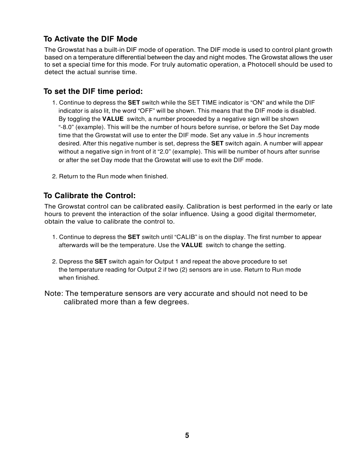## **To Activate the DIF Mode**

The Growstat has a built-in DIF mode of operation. The DIF mode is used to control plant growth based on a temperature differential between the day and night modes. The Growstat allows the user to set a special time for this mode. For truly automatic operation, a Photocell should be used to detect the actual sunrise time.

## **To set the DIF time period:**

- 1. Continue to depress the **SET** switch while the SET TIME indicator is "ON" and while the DIF indicator is also lit, the word "OFF" will be shown. This means that the DIF mode is disabled. By toggling the **VALUE** switch, a number proceeded by a negative sign will be shown ì-8.0î (example). This will be the number of hours before sunrise, or before the Set Day mode time that the Growstat will use to enter the DIF mode. Set any value in .5 hour increments desired. After this negative number is set, depress the **SET** switch again. A number will appear without a negative sign in front of it "2.0" (example). This will be number of hours after sunrise or after the set Day mode that the Growstat will use to exit the DIF mode.
- 2. Return to the Run mode when finished.

## **To Calibrate the Control:**

The Growstat control can be calibrated easily. Calibration is best performed in the early or late hours to prevent the interaction of the solar influence. Using a good digital thermometer, obtain the value to calibrate the control to.

- 1. Continue to depress the **SET** switch until "CALIB" is on the display. The first number to appear afterwards will be the temperature. Use the **VALUE** switch to change the setting.
- 2. Depress the **SET** switch again for Output 1 and repeat the above procedure to set the temperature reading for Output 2 if two (2) sensors are in use. Return to Run mode when finished.
- Note: The temperature sensors are very accurate and should not need to be calibrated more than a few degrees.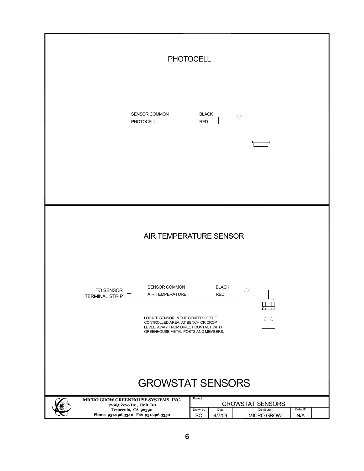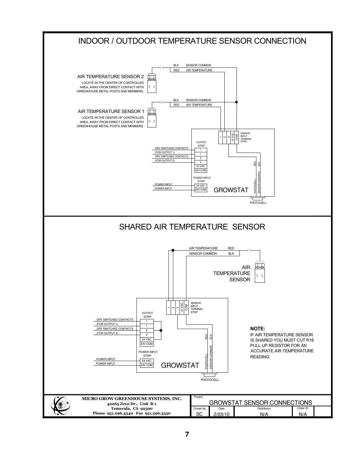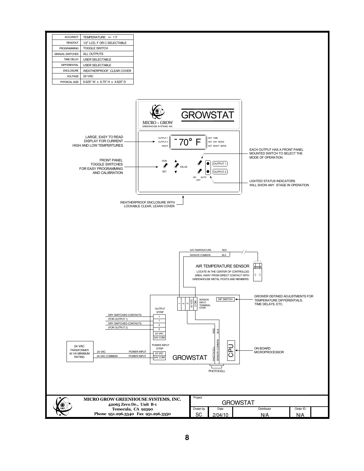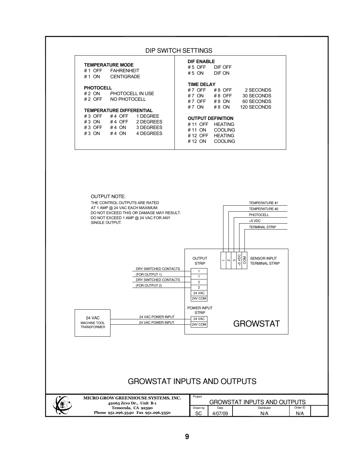#### DIP SWITCH SETTINGS

| <b>TEMPERATURE MODE</b><br><b>FAHRENHEIT</b><br>#1 OFF<br><b>CENTIGRADE</b><br>#1 ON                                                                                   | <b>DIF ENABLE</b><br>DIE OFF<br>$#5$ OFF<br>DIE ON<br>#5 ON                                                                                                    |
|------------------------------------------------------------------------------------------------------------------------------------------------------------------------|----------------------------------------------------------------------------------------------------------------------------------------------------------------|
| <b>PHOTOCELL</b><br>PHOTOCELL IN USE<br>#2 ON<br>NO PHOTOCELL<br># 2 $OFF$                                                                                             | <b>TIME DELAY</b><br>2 SECONDS<br>#7 OFF<br>#8 OFF<br>30 SECONDS<br># 7 ON<br>#8 OFF<br>60 SECONDS<br>$#8$ ON<br># 7 $OFF$<br>120 SECONDS<br># 7 ON<br>$#8$ ON |
| <b>TEMPERATURE DIFFERENTIAL</b><br>1 DEGREE<br>$#3$ OFF<br>#4 OFF<br>2 DEGREES<br>$#3$ ON<br>#4 OFF<br>3 DEGREES<br>$#3$ OFF<br>#4 ON<br>4 DEGREES<br>$#3$ ON<br>#4 ON | <b>OUTPUT DEFINITION</b><br><b>HFATING</b><br>#11 OFF<br>COOLING<br># 11 ON<br><b>HFATING</b><br># 12 OFF<br>COOLING<br>#12 ON                                 |